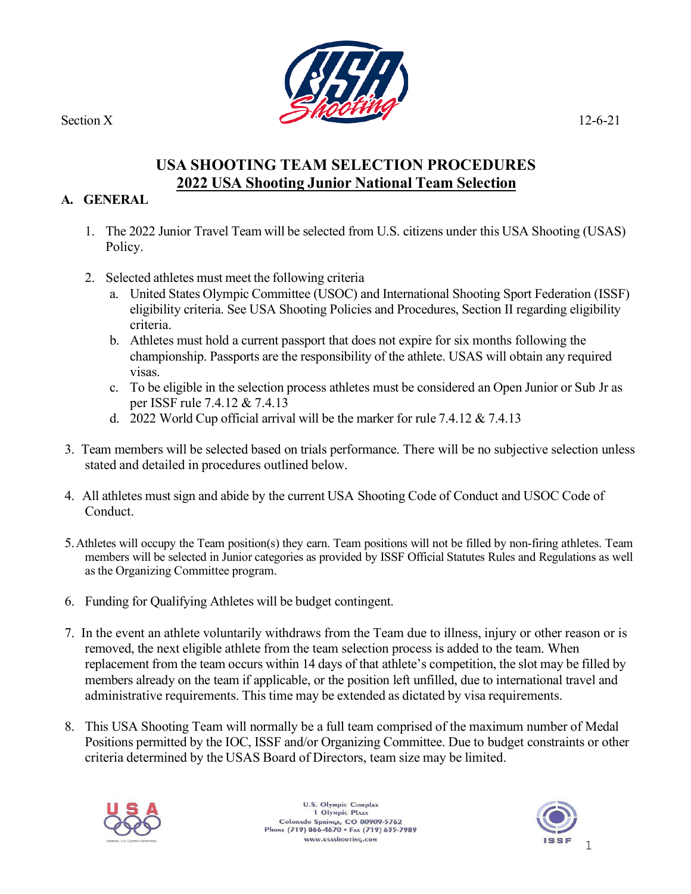

# **USA SHOOTING TEAM SELECTION PROCEDURES 2022 USA Shooting Junior National Team Selection**

#### **A. GENERAL**

- 1. The 2022 Junior Travel Team will be selected from U.S. citizens under this USA Shooting (USAS) Policy.
- 2. Selected athletes must meet the following criteria
	- a. United States Olympic Committee (USOC) and International Shooting Sport Federation (ISSF) eligibility criteria. See USA Shooting Policies and Procedures, Section II regarding eligibility criteria.
	- b. Athletes must hold a current passport that does not expire for six months following the championship. Passports are the responsibility of the athlete. USAS will obtain any required visas.
	- c. To be eligible in the selection process athletes must be considered an Open Junior or Sub Jr as per ISSF rule 7.4.12 & 7.4.13
	- d. 2022 World Cup official arrival will be the marker for rule 7.4.12 & 7.4.13
- 3. Team members will be selected based on trials performance. There will be no subjective selection unless stated and detailed in procedures outlined below.
- 4. All athletes must sign and abide by the current USA Shooting Code of Conduct and USOC Code of Conduct.
- 5.Athletes will occupy the Team position(s) they earn. Team positions will not be filled by non-firing athletes. Team members will be selected in Junior categories as provided by ISSF Official Statutes Rules and Regulations as well as the Organizing Committee program.
- 6. Funding for Qualifying Athletes will be budget contingent.
- 7. In the event an athlete voluntarily withdraws from the Team due to illness, injury or other reason or is removed, the next eligible athlete from the team selection process is added to the team. When replacement from the team occurs within 14 days of that athlete's competition, the slot may be filled by members already on the team if applicable, or the position left unfilled, due to international travel and administrative requirements. This time may be extended as dictated by visa requirements.
- 8. This USA Shooting Team will normally be a full team comprised of the maximum number of Medal Positions permitted by the IOC, ISSF and/or Organizing Committee. Due to budget constraints or other criteria determined by the USAS Board of Directors, team size may be limited.



**U.S. Olympic Complex** 1 Olympic Plaza Colorado Springs, CO 80909-5762<br>Phone (719) 866-4670 · Fax (719) 635-7989 www.usashooting.com

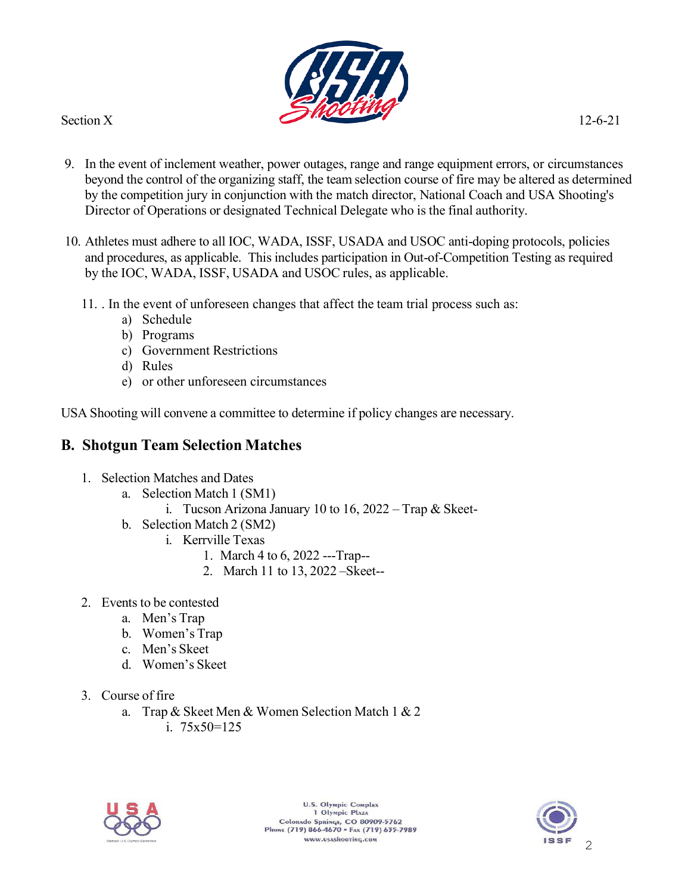

- 9. In the event of inclement weather, power outages, range and range equipment errors, or circumstances beyond the control of the organizing staff, the team selection course of fire may be altered as determined by the competition jury in conjunction with the match director, National Coach and USA Shooting's Director of Operations or designated Technical Delegate who is the final authority.
- 10. Athletes must adhere to all IOC, WADA, ISSF, USADA and USOC anti-doping protocols, policies and procedures, as applicable. This includes participation in Out-of-Competition Testing as required by the IOC, WADA, ISSF, USADA and USOC rules, as applicable.
	- 11. . In the event of unforeseen changes that affect the team trial process such as:
		- a) Schedule
		- b) Programs
		- c) Government Restrictions
		- d) Rules
		- e) or other unforeseen circumstances

USA Shooting will convene a committee to determine if policy changes are necessary.

## **B. Shotgun Team Selection Matches**

- 1. Selection Matches and Dates
	- a. Selection Match 1 (SM1)
		- i. Tucson Arizona January 10 to 16,  $2022 Trap \& Skeet-$
	- b. Selection Match 2 (SM2)
		- i. Kerrville Texas
			- 1. March 4 to 6, 2022 ---Trap--
			- 2. March 11 to 13, 2022 –Skeet--
- 2. Events to be contested
	- a. Men's Trap
	- b. Women's Trap
	- c. Men's Skeet
	- d. Women's Skeet
- 3. Course of fire
	- a. Trap & Skeet Men & Women Selection Match 1 & 2
		- i. 75x50=125



U.S. Olympic Complex 1 Olympic Plaza Colorado Springs, CO 80909-5762<br>Phone (719) 866-4670 • Fax (719) 635-7989 www.usashooting.com

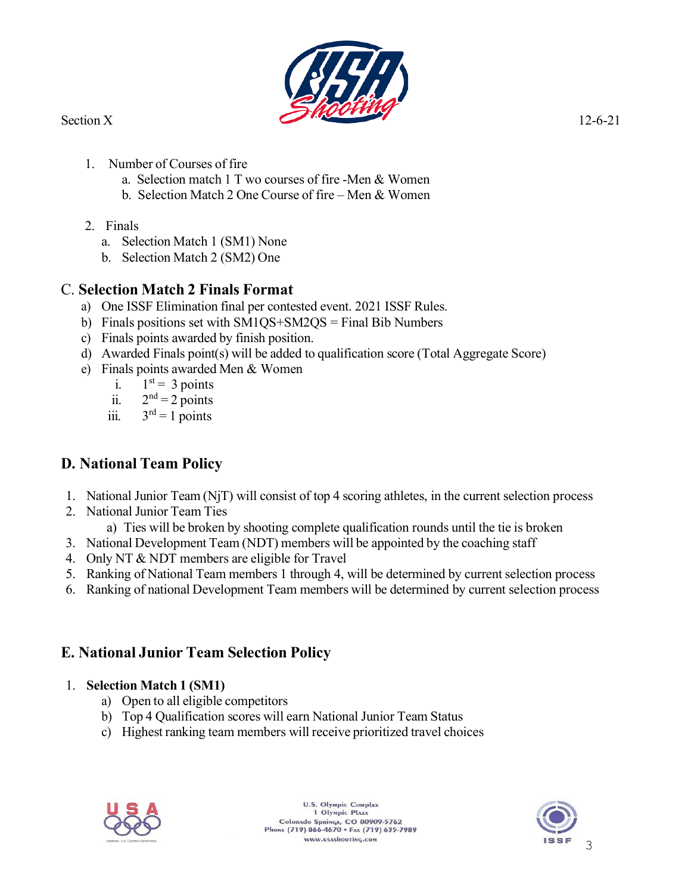

- 1. Number of Courses of fire
	- a. Selection match 1 T wo courses of fire -Men & Women
	- b. Selection Match 2 One Course of fire Men & Women
- 2. Finals
	- a. Selection Match 1 (SM1) None
	- b. Selection Match 2 (SM2) One

## C. **Selection Match 2 Finals Format**

- a) One ISSF Elimination final per contested event. 2021 ISSF Rules.
- b) Finals positions set with SM1QS+SM2QS = Final Bib Numbers
- c) Finals points awarded by finish position.
- d) Awarded Finals point(s) will be added to qualification score (Total Aggregate Score)
- e) Finals points awarded Men & Women
	- i.  $1<sup>st</sup> = 3 points$
	- ii.  $2<sup>nd</sup> = 2$  points
	- iii.  $3<sup>rd</sup> = 1$  points

# **D. National Team Policy**

- 1. National Junior Team (NjT) will consist of top 4 scoring athletes, in the current selection process
- 2. National Junior Team Ties
	- a) Ties will be broken by shooting complete qualification rounds until the tie is broken
- 3. National Development Team (NDT) members will be appointed by the coaching staff
- 4. Only NT & NDT members are eligible for Travel
- 5. Ranking of National Team members 1 through 4, will be determined by current selection process
- 6. Ranking of national Development Team members will be determined by current selection process

# **E. National Junior Team Selection Policy**

### 1. **Selection Match 1 (SM1)**

- a) Open to all eligible competitors
- b) Top 4 Qualification scores will earn National Junior Team Status
- c) Highest ranking team members will receive prioritized travel choices



**U.S. Olympic Complex** 1 Olympic Plaza Colorado Springs, CO 80909-5762<br>Phone (719) 866-4670 • Fax (719) 635-7989 www.usashooting.com

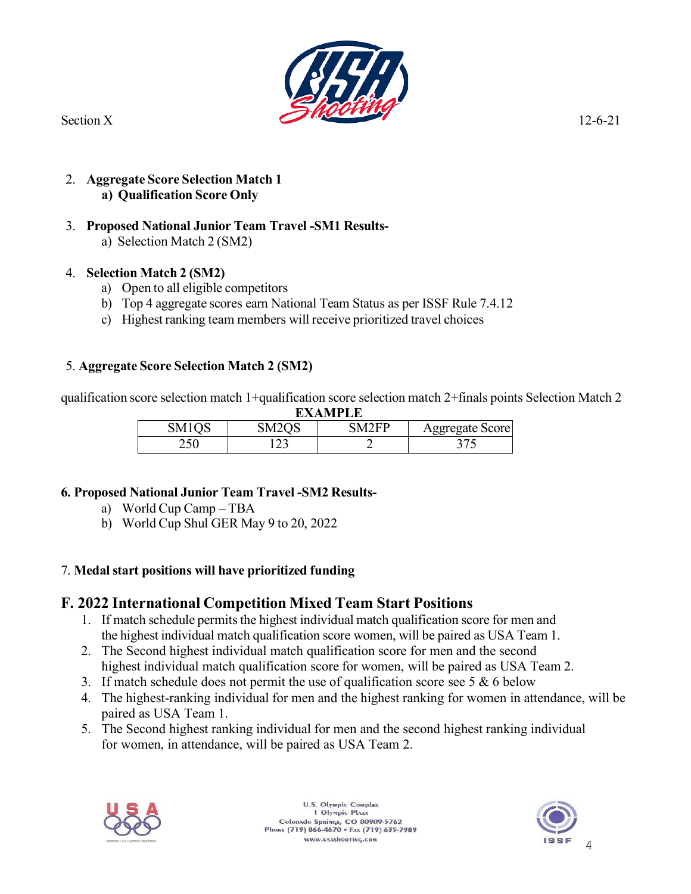

2. **Aggregate Score Selection Match 1 a) Qualification Score Only**

#### 3. **Proposed National Junior Team Travel -SM1 Results-**

a) Selection Match 2 (SM2)

#### 4. **Selection Match 2 (SM2)**

- a) Open to all eligible competitors
- b) Top 4 aggregate scores earn National Team Status as per ISSF Rule 7.4.12
- c) Highest ranking team members will receive prioritized travel choices

#### 5. **Aggregate Score Selection Match 2 (SM2)**

qualification score selection match 1+qualification score selection match 2+finals points Selection Match 2 **EXAMPLE**

| EAANIFLE           |                    |              |                        |
|--------------------|--------------------|--------------|------------------------|
| SM <sub>1</sub> OS | SM <sub>2</sub> OS | <b>SM2FP</b> | <b>Aggregate Score</b> |
|                    |                    |              |                        |

### **6. Proposed National Junior Team Travel -SM2 Results-**

- a) World Cup Camp TBA
- b) World Cup Shul GER May 9 to 20, 2022

### 7. **Medal start positions will have prioritized funding**

## **F. 2022 International Competition Mixed Team Start Positions**

- 1. If match schedule permits the highest individual match qualification score for men and the highest individual match qualification score women, will be paired as USA Team 1.
- 2. The Second highest individual match qualification score for men and the second highest individual match qualification score for women, will be paired as USA Team 2.
- 3. If match schedule does not permit the use of qualification score see 5  $\&$  6 below
- 4. The highest-ranking individual for men and the highest ranking for women in attendance, will be paired as USA Team 1.
- 5. The Second highest ranking individual for men and the second highest ranking individual for women, in attendance, will be paired as USA Team 2.